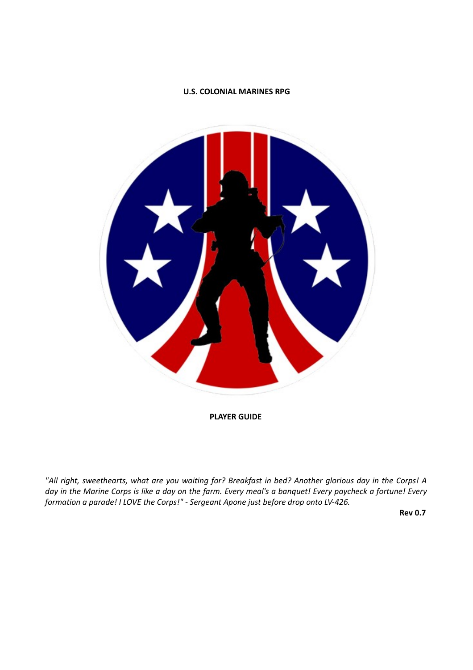# **U.S. COLONIAL MARINES RPG**



**PLAYER GUIDE** 

*"All right, sweethearts, what are you waiting for? Breakfast in bed? Another glorious day in the Corps! A day in the Marine Corps is like a day on the farm. Every meal's a banquet! Every paycheck a fortune! Every formation a parade! I LOVE the Corps!" ‐ Sergeant Apone just before drop onto LV‐426.* 

**Rev 0.7**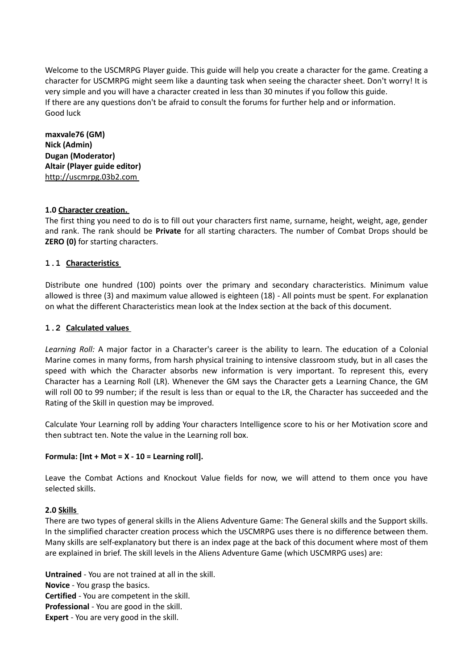Welcome to the USCMRPG Player guide. This guide will help you create a character for the game. Creating a character for USCMRPG might seem like a daunting task when seeing the character sheet. Don't worry! It is very simple and you will have a character created in less than 30 minutes if you follow this guide. If there are any questions don't be afraid to consult the forums for further help and or information. Good luck

**maxvale76 (GM) Nick (Admin) Dugan (Moderator) Altair (Player guide editor)**  http://uscmrpg.03b2.com

### **1.0 Character creation.**

The first thing you need to do is to fill out your characters first name, surname, height, weight, age, gender and rank. The rank should be **Private** for all starting characters. The number of Combat Drops should be **ZERO (0)** for starting characters.

# **1.1 Characteristics**

Distribute one hundred (100) points over the primary and secondary characteristics. Minimum value allowed is three (3) and maximum value allowed is eighteen (18) ‐ All points must be spent. For explanation on what the different Characteristics mean look at the Index section at the back of this document.

# **1.2 Calculated values**

*Learning Roll:* A major factor in a Character's career is the ability to learn. The education of a Colonial Marine comes in many forms, from harsh physical training to intensive classroom study, but in all cases the speed with which the Character absorbs new information is very important. To represent this, every Character has a Learning Roll (LR). Whenever the GM says the Character gets a Learning Chance, the GM will roll 00 to 99 number; if the result is less than or equal to the LR, the Character has succeeded and the Rating of the Skill in question may be improved.

Calculate Your Learning roll by adding Your characters Intelligence score to his or her Motivation score and then subtract ten. Note the value in the Learning roll box.

### **Formula: [Int + Mot = X ‐ 10 = Learning roll].**

Leave the Combat Actions and Knockout Value fields for now, we will attend to them once you have selected skills.

### **2.0 Skills**

There are two types of general skills in the Aliens Adventure Game: The General skills and the Support skills. In the simplified character creation process which the USCMRPG uses there is no difference between them. Many skills are self‐explanatory but there is an index page at the back of this document where most of them are explained in brief. The skill levels in the Aliens Adventure Game (which USCMRPG uses) are:

**Untrained** ‐ You are not trained at all in the skill. **Novice** ‐ You grasp the basics. **Certified** ‐ You are competent in the skill. **Professional** ‐ You are good in the skill. **Expert** - You are very good in the skill.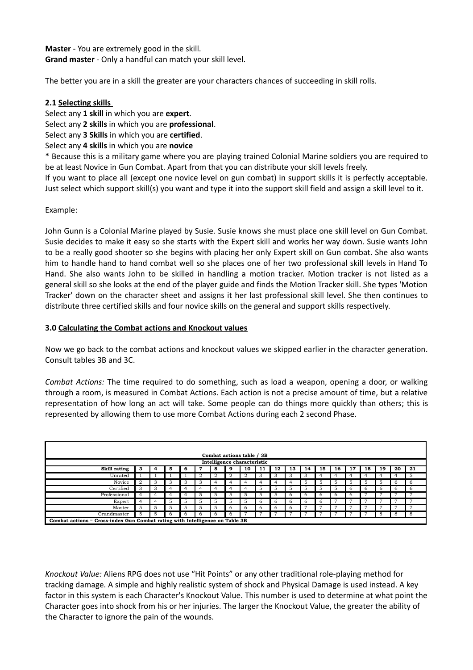**Master** ‐ You are extremely good in the skill. **Grand master** ‐ Only a handful can match your skill level.

The better you are in a skill the greater are your characters chances of succeeding in skill rolls.

# **2.1 Selecting skills**

Select any **1 skill** in which you are **expert**.

Select any **2 skills** in which you are **professional**.

Select any **3 Skills** in which you are **certified**.

Select any **4 skills** in which you are **novice** 

\* Because this is a military game where you are playing trained Colonial Marine soldiers you are required to be at least Novice in Gun Combat. Apart from that you can distribute your skill levels freely.

If you want to place all (except one novice level on gun combat) in support skills it is perfectly acceptable. Just select which support skill(s) you want and type it into the support skill field and assign a skill level to it.

Example:

John Gunn is a Colonial Marine played by Susie. Susie knows she must place one skill level on Gun Combat. Susie decides to make it easy so she starts with the Expert skill and works her way down. Susie wants John to be a really good shooter so she begins with placing her only Expert skill on Gun combat. She also wants him to handle hand to hand combat well so she places one of her two professional skill levels in Hand To Hand. She also wants John to be skilled in handling a motion tracker. Motion tracker is not listed as a general skill so she looks at the end of the player guide and finds the Motion Tracker skill. She types 'Motion Tracker' down on the character sheet and assigns it her last professional skill level. She then continues to distribute three certified skills and four novice skills on the general and support skills respectively.

# **3.0 Calculating the Combat actions and Knockout values**

Now we go back to the combat actions and knockout values we skipped earlier in the character generation. Consult tables 3B and 3C.

*Combat Actions:* The time required to do something, such as load a weapon, opening a door, or walking through a room, is measured in Combat Actions. Each action is not a precise amount of time, but a relative representation of how long an act will take. Some people can do things more quickly than others; this is represented by allowing them to use more Combat Actions during each 2 second Phase.

| Combat actions table / 3B                                                    |                             |               |   |    |              |   |               |              |              |    |    |    |    |               |               |              |              |    |     |
|------------------------------------------------------------------------------|-----------------------------|---------------|---|----|--------------|---|---------------|--------------|--------------|----|----|----|----|---------------|---------------|--------------|--------------|----|-----|
|                                                                              | Intelligence characteristic |               |   |    |              |   |               |              |              |    |    |    |    |               |               |              |              |    |     |
| Skill rating                                                                 | з                           | 4             | 5 | -6 | 7            | 8 | 9             | 10           | 11           | 12 | 13 | 14 | 15 | 16            | 17            | 18           | 19           | 20 | 21  |
| Unrated                                                                      |                             |               |   |    | 2            |   | 2             |              | 3            |    | చ  | 3  |    |               |               |              |              | 4  | 5   |
| Novice                                                                       |                             | 3             | 3 | 3  | 3            | 4 | 4             | 4            | 4            |    |    | -5 | 5  | 5             | $\mathcal{D}$ | 5            | 5.           | 6  | - 6 |
| Certified                                                                    | 3                           | 3             |   | 4  | 4            | 4 | 4             | 4            | 5            | 5  | 5  | 5  | 5  | $\mathcal{D}$ | 6             | <sub>b</sub> | <sub>6</sub> | b  | - 6 |
| Professional                                                                 |                             | 4             |   | 4  | 5            | 5 | 5             | 5            | 5            | 5  | 6  | 6  | 6  |               | 6.            |              |              |    |     |
| Expert                                                                       |                             | 4             | 5 | 5  | 5            | 5 | $\mathcal{D}$ | 5            | <sub>t</sub> | h  | h  | h  | 6  |               |               |              |              |    |     |
| Master                                                                       | $\mathcal{D}$               | $\mathcal{D}$ | 5 | 5  | 5            | 5 | 6             | <sub>t</sub> | 6            | h  | h  |    |    |               |               |              |              |    |     |
| Grandmaster                                                                  | 5                           | $\mathcal{D}$ | h | h  | <sub>t</sub> | 6 | 6             |              |              |    |    |    |    |               |               |              | 8            | 8  | 8   |
| Combat actions = Cross-index Gun Combat rating with Intelligence on Table 3B |                             |               |   |    |              |   |               |              |              |    |    |    |    |               |               |              |              |    |     |

*Knockout Value:* Aliens RPG does not use "Hit Points" or any other traditional role-playing method for tracking damage. A simple and highly realistic system of shock and Physical Damage is used instead. A key factor in this system is each Character's Knockout Value. This number is used to determine at what point the Character goes into shock from his or her injuries. The larger the Knockout Value, the greater the ability of the Character to ignore the pain of the wounds.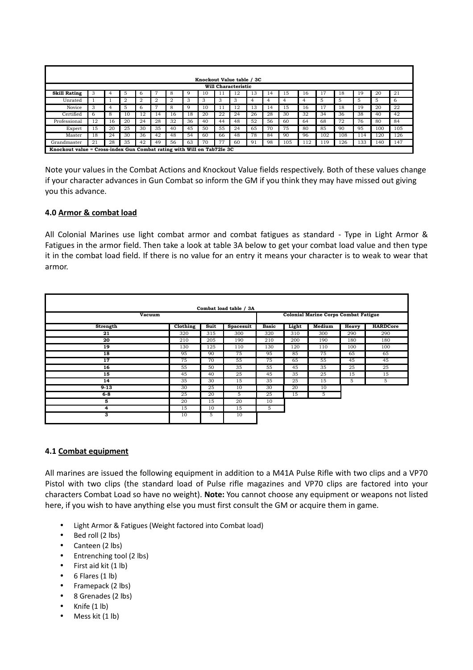|                     | Knockout Value table / 3C                                              |    |                |    |    |    |    |    |    |    |    |    |     |     |     |     |     |     |     |
|---------------------|------------------------------------------------------------------------|----|----------------|----|----|----|----|----|----|----|----|----|-----|-----|-----|-----|-----|-----|-----|
|                     | Will Characteristic                                                    |    |                |    |    |    |    |    |    |    |    |    |     |     |     |     |     |     |     |
| <b>Skill Rating</b> | 3                                                                      | 4  | 5              | 6  | −  | 8  | 9  | 10 | 11 | 12 | 13 | 14 | 15  | 16  | 17  | 18  | 19  | 20  | 21  |
| Unrated             |                                                                        |    | $\overline{2}$ | 2  | 2  | 2  | 3  | 3  | 3  | 3  | 4  | 4  | 4   | 4   | 5   | 5   | 5   | 5   | 6   |
| Novice              | 3                                                                      | 4  | 5              | 6  | ,  | 8  | 9  | 10 | 11 | 12 | 13 | 14 | 15  | 16  | 17  | 18  | 19  | 20  | 22  |
| Certified           | 6.                                                                     | 8  | 10             | 12 | 14 | 16 | 18 | 20 | 22 | 24 | 26 | 28 | 30  | 32  | 34  | 36  | 38  | 40  | 42  |
| Professional        | 12                                                                     | 16 | 20             | 24 | 28 | 32 | 36 | 40 | 44 | 48 | 52 | 56 | 60  | 64  | 68  | 72  | 76  | 80  | 84  |
| Expert              | 15                                                                     | 20 | 25             | 30 | 35 | 40 | 45 | 50 | 55 | 24 | 65 | 70 | 75  | 80  | 85  | 90  | 95  | 100 | 105 |
| Master              | 18                                                                     | 24 | 30             | 36 | 42 | 48 | 54 | 60 | 66 | 48 | 78 | 84 | 90  | 96  | 102 | 108 | 114 | 120 | 126 |
| Grandmaster         | 21                                                                     | 28 | 35             | 42 | 49 | 56 | 63 | 70 | 77 | 60 | 91 | 98 | 105 | 112 | 119 | 126 | 133 | 140 | 147 |
|                     | Knockout value = Cross-index Gun Combat rating with Will on Tab72le 3C |    |                |    |    |    |    |    |    |    |    |    |     |     |     |     |     |     |     |

Note your values in the Combat Actions and Knockout Value fields respectively. Both of these values change if your character advances in Gun Combat so inform the GM if you think they may have missed out giving you this advance.

### **4.0 Armor & combat load**

All Colonial Marines use light combat armor and combat fatigues as standard - Type in Light Armor & Fatigues in the armor field. Then take a look at table 3A below to get your combat load value and then type it in the combat load field. If there is no value for an entry it means your character is to weak to wear that armor.

|          | Combat load table / 3A |                                             |                  |              |       |        |       |                 |  |
|----------|------------------------|---------------------------------------------|------------------|--------------|-------|--------|-------|-----------------|--|
| Vacuum   |                        | <b>Colonial Marine Corps Combat Fatigue</b> |                  |              |       |        |       |                 |  |
| Strength | Clothing               | Suit                                        | <b>Spacesuit</b> | <b>Basic</b> | Light | Medium | Heavy | <b>HARDCore</b> |  |
| 21       | 320                    | 315                                         | 300              | 320          | 310   | 300    | 290   | 290             |  |
| 20       | 210                    | 205                                         | 190              | 210          | 200   | 190    | 180   | 180             |  |
| 19       | 130                    | 125                                         | 110              | 130          | 120   | 110    | 100   | 100             |  |
| 18       | 95                     | 90                                          | 75               | 95           | 85    | 75     | 65    | 65              |  |
| 17       | 75                     | 70                                          | 55               | 75           | 65    | 55     | 45    | 45              |  |
| 16       | 55                     | 50                                          | 35               | 55           | 45    | 35     | 25    | 25              |  |
| 15       | 45                     | 40                                          | 25               | 45           | 35    | 25     | 15    | 15              |  |
| 14       | 35                     | 30                                          | 15               | 35           | 25    | 15     | 5     | 5               |  |
| $9 - 13$ | 30                     | 25                                          | 10               | 30           | 20    | 10     |       |                 |  |
| 6-8      | 25                     | 20                                          | 5                | 25           | 15    | 5      |       |                 |  |
| 5        | 20                     | 15                                          | 20               | 10           |       |        |       |                 |  |
| 4        | 15                     | 10                                          | 15               | 5            |       |        |       |                 |  |
| 3        | 10                     | 5                                           | 10               |              |       |        |       |                 |  |

### **4.1 Combat equipment**

All marines are issued the following equipment in addition to a M41A Pulse Rifle with two clips and a VP70 Pistol with two clips (the standard load of Pulse rifle magazines and VP70 clips are factored into your characters Combat Load so have no weight). **Note:** You cannot choose any equipment or weapons not listed here, if you wish to have anything else you must first consult the GM or acquire them in game.

- Light Armor & Fatigues (Weight factored into Combat load)
- Bed roll (2 lbs)
- Canteen (2 lbs)
- Entrenching tool (2 lbs)
- $\bullet$  First aid kit  $(1 \text{ lb})$
- 6 Flares (1 lb)
- Framepack (2 lbs)
- 8 Grenades (2 lbs)
- $\bullet$  Knife  $(1 \text{ lb})$
- Mess kit (1 lb)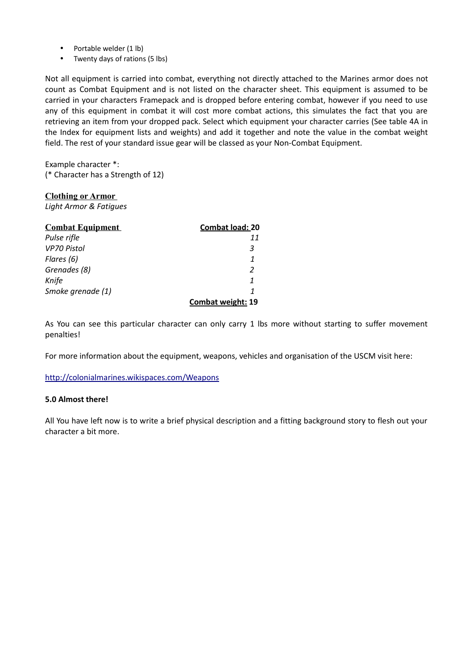- Portable welder (1 lb)
- Twenty days of rations (5 lbs)

Not all equipment is carried into combat, everything not directly attached to the Marines armor does not count as Combat Equipment and is not listed on the character sheet. This equipment is assumed to be carried in your characters Framepack and is dropped before entering combat, however if you need to use any of this equipment in combat it will cost more combat actions, this simulates the fact that you are retrieving an item from your dropped pack. Select which equipment your character carries (See table 4A in the Index for equipment lists and weights) and add it together and note the value in the combat weight field. The rest of your standard issue gear will be classed as your Non-Combat Equipment.

Example character \*: (\* Character has a Strength of 12)

### **Clothing or Armor**

*Light Armor & Fatigues* 

| <b>Combat Equipment</b> | <b>Combat load: 20</b> |
|-------------------------|------------------------|
| Pulse rifle             | 11                     |
| VP70 Pistol             | 3                      |
| Flares (6)              |                        |
| Grenades (8)            | 2                      |
| Knife                   |                        |
| Smoke grenade (1)       |                        |
|                         | Combat weight: 19      |

As You can see this particular character can only carry 1 lbs more without starting to suffer movement penalties!

For more information about the equipment, weapons, vehicles and organisation of the USCM visit here:

<http://colonialmarines.wikispaces.com/Weapons>

### **5.0 Almost there!**

All You have left now is to write a brief physical description and a fitting background story to flesh out your character a bit more.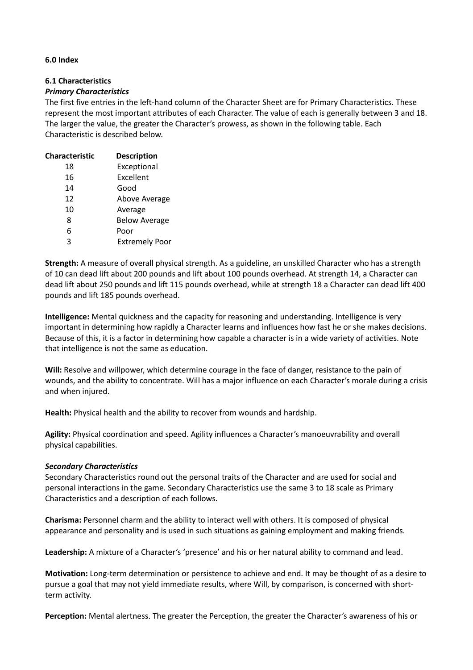### **6.0 Index**

# **6.1 Characteristics**

### *Primary Characteristics*

The first five entries in the left-hand column of the Character Sheet are for Primary Characteristics. These represent the most important attributes of each Character. The value of each is generally between 3 and 18. The larger the value, the greater the Character's prowess, as shown in the following table. Each Characteristic is described below.

| <b>Characteristic</b> | <b>Description</b>    |
|-----------------------|-----------------------|
| 18                    | Exceptional           |
| 16                    | Excellent             |
| 14                    | Good                  |
| 12                    | Above Average         |
| 10                    | Average               |
| 8                     | <b>Below Average</b>  |
| 6                     | Poor                  |
| ς                     | <b>Extremely Poor</b> |
|                       |                       |

**Strength:** A measure of overall physical strength. As a guideline, an unskilled Character who has a strength of 10 can dead lift about 200 pounds and lift about 100 pounds overhead. At strength 14, a Character can dead lift about 250 pounds and lift 115 pounds overhead, while at strength 18 a Character can dead lift 400 pounds and lift 185 pounds overhead.

**Intelligence:** Mental quickness and the capacity for reasoning and understanding. Intelligence is very important in determining how rapidly a Character learns and influences how fast he or she makes decisions. Because of this, it is a factor in determining how capable a character is in a wide variety of activities. Note that intelligence is not the same as education.

**Will:** Resolve and willpower, which determine courage in the face of danger, resistance to the pain of wounds, and the ability to concentrate. Will has a major influence on each Character's morale during a crisis and when injured.

**Health:** Physical health and the ability to recover from wounds and hardship.

**Agility:** Physical coordination and speed. Agility influences a Character's manoeuvrability and overall physical capabilities.

### *Secondary Characteristics*

Secondary Characteristics round out the personal traits of the Character and are used for social and personal interactions in the game. Secondary Characteristics use the same 3 to 18 scale as Primary Characteristics and a description of each follows.

**Charisma:** Personnel charm and the ability to interact well with others. It is composed of physical appearance and personality and is used in such situations as gaining employment and making friends.

**Leadership:** A mixture of a Character's 'presence' and his or her natural ability to command and lead.

**Motivation:** Long-term determination or persistence to achieve and end. It may be thought of as a desire to pursue a goal that may not yield immediate results, where Will, by comparison, is concerned with shortterm activity.

**Perception:** Mental alertness. The greater the Perception, the greater the Character's awareness of his or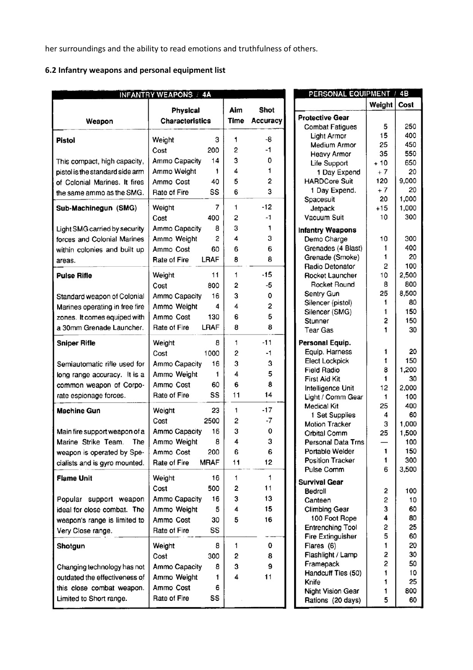her surroundings and the ability to read emotions and truthfulness of others.

# **6.2 Infantry weapons and personal equipment list**

|                                                   | <b>INFANTRY WEAPONS / 4A</b>              |                    |                         |
|---------------------------------------------------|-------------------------------------------|--------------------|-------------------------|
| Weapon                                            | <b>Physical</b><br><b>Characteristics</b> | Aim<br><b>Time</b> | Shot<br><b>Accuracy</b> |
| <b>Pistol</b>                                     | 3<br>Weight                               | 1                  | -8                      |
|                                                   | 200<br>Cost                               | 2                  | $-1$                    |
| This compact, high capacity,                      | 14<br>Ammo Capacity                       | з                  | 0                       |
| pistol is the standard side arm                   | Ammo Weight<br>1                          | 4                  | 1                       |
| of Colonial Marines. It fires                     | 40<br>Ammo Cost                           | 5                  | $\overline{c}$          |
| the same ammo as the SMG.                         | SS<br>Rate of Fire                        | 6                  | 3                       |
| Sub-Machinegun (SMG)                              | 7<br>Weight                               | 1                  | $-12$                   |
|                                                   | 400<br>Cost                               | 2                  | -1                      |
| Light SMG carried by security                     | 8<br>Ammo Capacity                        | 3                  | 1                       |
| forces and Colonial Marines                       | Ammo Weight<br>2                          | 4                  | 3                       |
| within colonies and built up                      | Ammo Cost<br>60                           | 6                  | 6                       |
| areas.                                            | LRAF<br>Rate of Fire                      | 8                  | 8                       |
| <b>Pulse Rifle</b>                                | 11<br>Weight                              | 1                  | $-15$                   |
|                                                   | 800<br>Cost                               | 2                  | -5                      |
| Standard weapon of Colonial                       | 16<br>Ammo Capacity                       | 3                  | 0                       |
| Marines operating in free fire                    | Ammo Weight<br>4                          | 4                  | 2                       |
| zones. It comes equiped with                      | Ammo Cost<br>130<br>LRAF<br>Rate of Fire  | 6<br>8             | 5<br>8                  |
| a 30mm Grenade Launcher.                          |                                           |                    |                         |
| <b>Sniper Rifle</b>                               | Weight<br>8                               | 1                  | -11                     |
|                                                   | 1000<br>Cost                              | 2                  | -1                      |
| Semiautomatic rifle used for                      | 16<br>Ammo Capacity                       | 3                  | 3                       |
| long range accuracy. It is a                      | Ammo Weight<br>1                          | 4                  | 5<br>8                  |
| common weapon of Corpo-<br>rate espionage forces. | 60<br>Ammo Cost<br>SS<br>Rate of Fire     | 6<br>11            | 14                      |
| <b>Machine Gun</b>                                | 23<br>Weight                              | 1                  | $-17$                   |
|                                                   | 2500<br>Cost                              | 2                  | -7                      |
| Main fire support weapon of a                     | 16<br>Ammo Capacity                       | 3                  | 0                       |
| Marine Strike Team.<br>The                        | 8<br>Ammo Weight                          | 4                  | 3                       |
| weapon is operated by Spe-                        | 200<br>Ammo Cost                          | 6                  | 6                       |
| cialists and is gyro mounted.                     | <b>MRAF</b><br>Rate of Fire               | 11                 | 12                      |
| <b>Flame Unit</b>                                 | 16<br>Weight                              | 1                  | 1                       |
|                                                   | 500<br>Cost                               | 2                  | 11                      |
| Popular support weapon                            | Ammo Capacity<br>16                       | 3                  | 13                      |
| ideal for close combat. The                       | 5<br>Ammo Weight                          | 4                  | 15                      |
| weapon's range is limited to                      | Ammo Cost<br>30                           | 5                  | 16                      |
| Very Close range.                                 | SS<br>Rate of Fire                        |                    |                         |
| Shotgun                                           | Weight<br>8                               | 1                  | 0                       |
|                                                   | 300<br>Cost                               | 2                  | 8                       |
| Changing technology has not                       | 8<br>Ammo Capacity                        | 3                  | 9                       |
| outdated the effectiveness of                     | Ammo Weight<br>1                          | 4                  | 11                      |
| this close combat weapon.                         | Ammo Cost<br>6                            |                    |                         |
| Limited to Short range.                           | SS<br>Rate of Fire                        |                    |                         |

| PERSONAL EQUIPMENT / 4B               |               |            |
|---------------------------------------|---------------|------------|
|                                       | Weight   Cost |            |
| <b>Protective Gear</b>                |               |            |
| <b>Combat Fatigues</b>                | 5             | 250        |
| Light Armor                           | 15            | 400        |
| <b>Medium Armor</b>                   | 25            | 450        |
| <b>Heavy Armor</b>                    | 35            | 550        |
| Life Support                          | $+10$         | 650        |
| 1 Day Expend                          | $+7$          | 20         |
| <b>HARDCore Suit</b>                  | 120           | 9,000      |
| 1 Day Expend.                         | $+7$          | 20         |
| Spacesuit                             | 20            | 1,000      |
| Jetpack                               | $+15$         | 1,000      |
| Vacuum Suit                           | 10            | 300        |
|                                       |               |            |
| <b>Infantry Weapons</b>               | 10            | 300        |
| Demo Charge<br>Grenades (4 Blast)     | 1             | 400        |
| Grenade (Smoke)                       | 1             | 20         |
| Radio Detonator                       | 2             | 100        |
| <b>Rocket Launcher</b>                | 10            | 2,500      |
| Rocket Round                          | 8             | 800        |
|                                       | 25            | 8,500      |
| Sentry Gun                            | 1             | 80         |
| Silencer (pistol)<br>Silencer (SMG)   | 1             | 150        |
| Stunner                               | 2             | 150        |
| <b>Tear Gas</b>                       | 1             | 30         |
|                                       |               |            |
| Personal Equip.                       |               |            |
| Equip. Harness                        | 1             | 20         |
| <b>Elect Lockpick</b>                 | 1             | 150        |
| <b>Field Radio</b>                    | 8             | 1,200      |
| <b>First Aid Kit</b>                  | 1             | 30         |
| Intelligence Unit                     | 12            | 2,000      |
| Light / Comm Gear                     | 1             | 100        |
| <b>Medical Kit</b>                    | 25            | 400        |
| 1 Set Supplies                        | 4             | 60         |
| <b>Motion Tracker</b>                 | 3<br>25       | 1,000      |
| Orbital Comm                          |               | 1,500      |
| Personal Data Trns<br>Portable Welder | 1             | 100<br>150 |
| <b>Position Tracker</b>               | 1             | 300        |
| Pulse Comm                            | 6             | 3,500      |
|                                       |               |            |
| <b>Survival Gear</b>                  |               |            |
| Bedroll                               | 2             | 100        |
| Canteen                               | 2             | 10         |
| <b>Climbing Gear</b>                  | 3             | 60         |
| 100 Foot Rope                         | 4             | 80         |
| <b>Entrenching Tool</b>               | 2             | 25         |
| <b>Fire Extinguisher</b>              | 5             | 60         |
| Flares (6)                            | $\mathbf{1}$  | 20         |
| Flashlight / Lamp                     | 2             | 30         |
| Framepack                             | 2             | 50         |
| Handcuff Ties (50)                    | 1             | 10         |
| Knife                                 | 1<br>1        | 25         |
| Night Vision Gear                     | 5             | 800<br>60  |
| Rations (20 days)                     |               |            |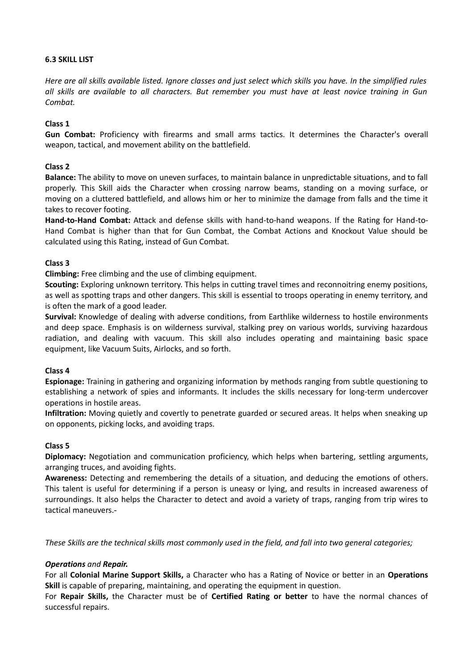### **6.3 SKILL LIST**

*Here are all skills available listed. Ignore classes and just select which skills you have. In the simplified rules all skills are available to all characters. But remember you must have at least novice training in Gun Combat.* 

# **Class 1**

**Gun Combat:** Proficiency with firearms and small arms tactics. It determines the Character's overall weapon, tactical, and movement ability on the battlefield.

# **Class 2**

**Balance:** The ability to move on uneven surfaces, to maintain balance in unpredictable situations, and to fall properly. This Skill aids the Character when crossing narrow beams, standing on a moving surface, or moving on a cluttered battlefield, and allows him or her to minimize the damage from falls and the time it takes to recover footing.

**Hand‐to‐Hand Combat:** Attack and defense skills with hand‐to‐hand weapons. If the Rating for Hand‐to‐ Hand Combat is higher than that for Gun Combat, the Combat Actions and Knockout Value should be calculated using this Rating, instead of Gun Combat.

# **Class 3**

**Climbing:** Free climbing and the use of climbing equipment.

**Scouting:** Exploring unknown territory. This helps in cutting travel times and reconnoitring enemy positions, as well as spotting traps and other dangers. This skill is essential to troops operating in enemy territory, and is often the mark of a good leader.

**Survival:** Knowledge of dealing with adverse conditions, from Earthlike wilderness to hostile environments and deep space. Emphasis is on wilderness survival, stalking prey on various worlds, surviving hazardous radiation, and dealing with vacuum. This skill also includes operating and maintaining basic space equipment, like Vacuum Suits, Airlocks, and so forth.

### **Class 4**

**Espionage:** Training in gathering and organizing information by methods ranging from subtle questioning to establishing a network of spies and informants. It includes the skills necessary for long-term undercover operations in hostile areas.

**Infiltration:** Moving quietly and covertly to penetrate guarded or secured areas. It helps when sneaking up on opponents, picking locks, and avoiding traps.

### **Class 5**

**Diplomacy:** Negotiation and communication proficiency, which helps when bartering, settling arguments, arranging truces, and avoiding fights.

**Awareness:** Detecting and remembering the details of a situation, and deducing the emotions of others. This talent is useful for determining if a person is uneasy or lying, and results in increased awareness of surroundings. It also helps the Character to detect and avoid a variety of traps, ranging from trip wires to tactical maneuvers.-

*These Skills are the technical skills most commonly used in the field, and fall into two general categories;* 

# *Operations and Repair.*

For all **Colonial Marine Support Skills,** a Character who has a Rating of Novice or better in an **Operations Skill** is capable of preparing, maintaining, and operating the equipment in question.

For **Repair Skills,** the Character must be of **Certified Rating or better** to have the normal chances of successful repairs.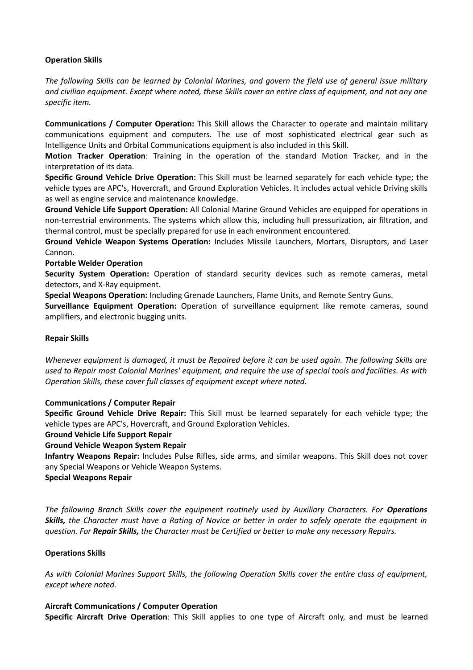# **Operation Skills**

*The following Skills can be learned by Colonial Marines, and govern the field use of general issue military and civilian equipment. Except where noted, these Skills cover an entire class of equipment, and not any one specific item.* 

**Communications / Computer Operation:** This Skill allows the Character to operate and maintain military communications equipment and computers. The use of most sophisticated electrical gear such as Intelligence Units and Orbital Communications equipment is also included in this Skill.

**Motion Tracker Operation**: Training in the operation of the standard Motion Tracker, and in the interpretation of its data.

**Specific Ground Vehicle Drive Operation:** This Skill must be learned separately for each vehicle type; the vehicle types are APC's, Hovercraft, and Ground Exploration Vehicles. It includes actual vehicle Driving skills as well as engine service and maintenance knowledge.

**Ground Vehicle Life Support Operation:** All Colonial Marine Ground Vehicles are equipped for operations in non‐terrestrial environments. The systems which allow this, including hull pressurization, air filtration, and thermal control, must be specially prepared for use in each environment encountered.

**Ground Vehicle Weapon Systems Operation:** Includes Missile Launchers, Mortars, Disruptors, and Laser Cannon.

### **Portable Welder Operation**

**Security System Operation:** Operation of standard security devices such as remote cameras, metal detectors, and X‐Ray equipment.

**Special Weapons Operation:** Including Grenade Launchers, Flame Units, and Remote Sentry Guns.

**Surveillance Equipment Operation:** Operation of surveillance equipment like remote cameras, sound amplifiers, and electronic bugging units.

### **Repair Skills**

*Whenever equipment is damaged, it must be Repaired before it can be used again. The following Skills are used to Repair most Colonial Marines' equipment, and require the use of special tools and facilities. As with Operation Skills, these cover full classes of equipment except where noted.* 

### **Communications / Computer Repair**

**Specific Ground Vehicle Drive Repair:** This Skill must be learned separately for each vehicle type; the vehicle types are APC's, Hovercraft, and Ground Exploration Vehicles.

### **Ground Vehicle Life Support Repair**

**Ground Vehicle Weapon System Repair** 

**Infantry Weapons Repair:** Includes Pulse Rifles, side arms, and similar weapons. This Skill does not cover any Special Weapons or Vehicle Weapon Systems.

### **Special Weapons Repair**

*The following Branch Skills cover the equipment routinely used by Auxiliary Characters. For Operations Skills, the Character must have a Rating of Novice or better in order to safely operate the equipment in question. For Repair Skills, the Character must be Certified or better to make any necessary Repairs.* 

# **Operations Skills**

*As with Colonial Marines Support Skills, the following Operation Skills cover the entire class of equipment, except where noted.* 

### **Aircraft Communications / Computer Operation**

**Specific Aircraft Drive Operation**: This Skill applies to one type of Aircraft only, and must be learned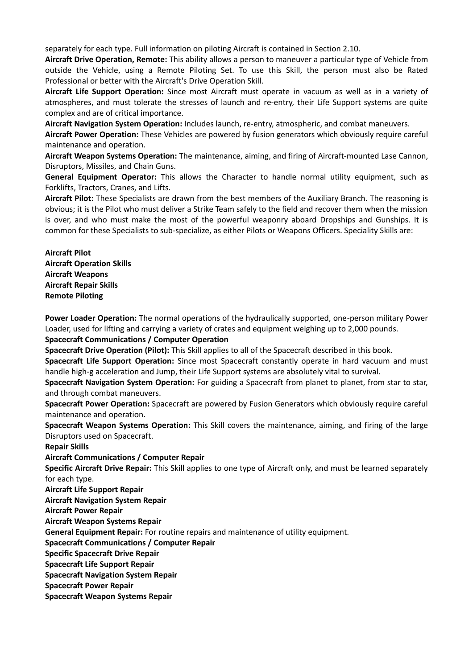separately for each type. Full information on piloting Aircraft is contained in Section 2.10.

**Aircraft Drive Operation, Remote:** This ability allows a person to maneuver a particular type of Vehicle from outside the Vehicle, using a Remote Piloting Set. To use this Skill, the person must also be Rated Professional or better with the Aircraft's Drive Operation Skill.

**Aircraft Life Support Operation:** Since most Aircraft must operate in vacuum as well as in a variety of atmospheres, and must tolerate the stresses of launch and re-entry, their Life Support systems are quite complex and are of critical importance.

**Aircraft Navigation System Operation:** Includes launch, re-entry, atmospheric, and combat maneuvers.

**Aircraft Power Operation:** These Vehicles are powered by fusion generators which obviously require careful maintenance and operation.

**Aircraft Weapon Systems Operation:** The maintenance, aiming, and firing of Aircraft‐mounted Lase Cannon, Disruptors, Missiles, and Chain Guns.

**General Equipment Operator:** This allows the Character to handle normal utility equipment, such as Forklifts, Tractors, Cranes, and Lifts.

**Aircraft Pilot:** These Specialists are drawn from the best members of the Auxiliary Branch. The reasoning is obvious; it is the Pilot who must deliver a Strike Team safely to the field and recover them when the mission is over, and who must make the most of the powerful weaponry aboard Dropships and Gunships. It is common for these Specialists to sub‐specialize, as either Pilots or Weapons Officers. Speciality Skills are:

**Aircraft Pilot Aircraft Operation Skills Aircraft Weapons Aircraft Repair Skills Remote Piloting** 

**Power Loader Operation:** The normal operations of the hydraulically supported, one‐person military Power Loader, used for lifting and carrying a variety of crates and equipment weighing up to 2,000 pounds.

### **Spacecraft Communications / Computer Operation**

**Spacecraft Drive Operation (Pilot):** This Skill applies to all of the Spacecraft described in this book.

**Spacecraft Life Support Operation:** Since most Spacecraft constantly operate in hard vacuum and must handle high-g acceleration and Jump, their Life Support systems are absolutely vital to survival.

**Spacecraft Navigation System Operation:** For guiding a Spacecraft from planet to planet, from star to star, and through combat maneuvers.

**Spacecraft Power Operation:** Spacecraft are powered by Fusion Generators which obviously require careful maintenance and operation.

**Spacecraft Weapon Systems Operation:** This Skill covers the maintenance, aiming, and firing of the large Disruptors used on Spacecraft.

**Repair Skills** 

**Aircraft Communications / Computer Repair** 

**Specific Aircraft Drive Repair:** This Skill applies to one type of Aircraft only, and must be learned separately for each type.

**Aircraft Life Support Repair** 

**Aircraft Navigation System Repair** 

**Aircraft Power Repair** 

**Aircraft Weapon Systems Repair** 

**General Equipment Repair:** For routine repairs and maintenance of utility equipment.

### **Spacecraft Communications / Computer Repair**

**Specific Spacecraft Drive Repair** 

**Spacecraft Life Support Repair** 

**Spacecraft Navigation System Repair** 

**Spacecraft Power Repair** 

**Spacecraft Weapon Systems Repair**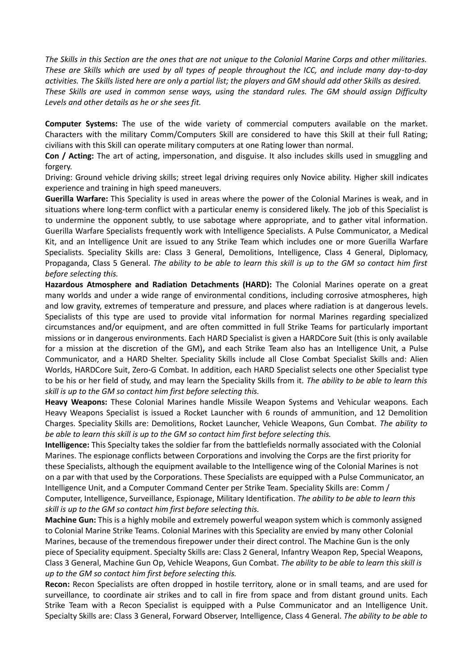*The Skills in this Section are the ones that are not unique to the Colonial Marine Corps and other militaries. These are Skills which are used by all types of people throughout the ICC, and include many day‐to‐day activities. The Skills listed here are only a partial list; the players and GM should add other Skills as desired. These Skills are used in common sense ways, using the standard rules. The GM should assign Difficulty Levels and other details as he or she sees fit.* 

**Computer Systems:** The use of the wide variety of commercial computers available on the market. Characters with the military Comm/Computers Skill are considered to have this Skill at their full Rating; civilians with this Skill can operate military computers at one Rating lower than normal.

**Con / Acting:** The art of acting, impersonation, and disguise. It also includes skills used in smuggling and forgery.

Driving: Ground vehicle driving skills; street legal driving requires only Novice ability. Higher skill indicates experience and training in high speed maneuvers.

**Guerilla Warfare:** This Speciality is used in areas where the power of the Colonial Marines is weak, and in situations where long‐term conflict with a particular enemy is considered likely. The job of this Specialist is to undermine the opponent subtly, to use sabotage where appropriate, and to gather vital information. Guerilla Warfare Specialists frequently work with Intelligence Specialists. A Pulse Communicator, a Medical Kit, and an Intelligence Unit are issued to any Strike Team which includes one or more Guerilla Warfare Specialists. Speciality Skills are: Class 3 General, Demolitions, Intelligence, Class 4 General, Diplomacy, Propaganda, Class 5 General. *The ability to be able to learn this skill is up to the GM so contact him first before selecting this.* 

**Hazardous Atmosphere and Radiation Detachments (HARD):** The Colonial Marines operate on a great many worlds and under a wide range of environmental conditions, including corrosive atmospheres, high and low gravity, extremes of temperature and pressure, and places where radiation is at dangerous levels. Specialists of this type are used to provide vital information for normal Marines regarding specialized circumstances and/or equipment, and are often committed in full Strike Teams for particularly important missions or in dangerous environments. Each HARD Specialist is given a HARDCore Suit (this is only available for a mission at the discretion of the GM)**,** and each Strike Team also has an Intelligence Unit, a Pulse Communicator, and a HARD Shelter. Speciality Skills include all Close Combat Specialist Skills and: Alien Worlds, HARDCore Suit, Zero‐G Combat. In addition, each HARD Specialist selects one other Specialist type to be his or her field of study, and may learn the Speciality Skills from it. *The ability to be able to learn this skill is up to the GM so contact him first before selecting this.* 

**Heavy Weapons:** These Colonial Marines handle Missile Weapon Systems and Vehicular weapons. Each Heavy Weapons Specialist is issued a Rocket Launcher with 6 rounds of ammunition, and 12 Demolition Charges. Speciality Skills are: Demolitions, Rocket Launcher, Vehicle Weapons, Gun Combat. *The ability to be able to learn this skill is up to the GM so contact him first before selecting this.* 

**Intelligence:** This Specialty takes the soldier far from the battlefields normally associated with the Colonial Marines. The espionage conflicts between Corporations and involving the Corps are the first priority for these Specialists, although the equipment available to the Intelligence wing of the Colonial Marines is not on a par with that used by the Corporations. These Specialists are equipped with a Pulse Communicator, an Intelligence Unit, and a Computer Command Center per Strike Team. Speciality Skills are: Comm / Computer, Intelligence, Surveillance, Espionage, Military Identification. *The ability to be able to learn this skill is up to the GM so contact him first before selecting this.* 

**Machine Gun:** This is a highly mobile and extremely powerful weapon system which is commonly assigned to Colonial Marine Strike Teams. Colonial Marines with this Speciality are envied by many other Colonial Marines, because of the tremendous firepower under their direct control. The Machine Gun is the only piece of Speciality equipment. Specialty Skills are: Class 2 General, Infantry Weapon Rep, Special Weapons, Class 3 General, Machine Gun Op, Vehicle Weapons, Gun Combat. *The ability to be able to learn this skill is up to the GM so contact him first before selecting this.* 

**Recon:** Recon Specialists are often dropped in hostile territory, alone or in small teams, and are used for surveillance, to coordinate air strikes and to call in fire from space and from distant ground units. Each Strike Team with a Recon Specialist is equipped with a Pulse Communicator and an Intelligence Unit. Specialty Skills are: Class 3 General, Forward Observer, Intelligence, Class 4 General. *The ability to be able to*